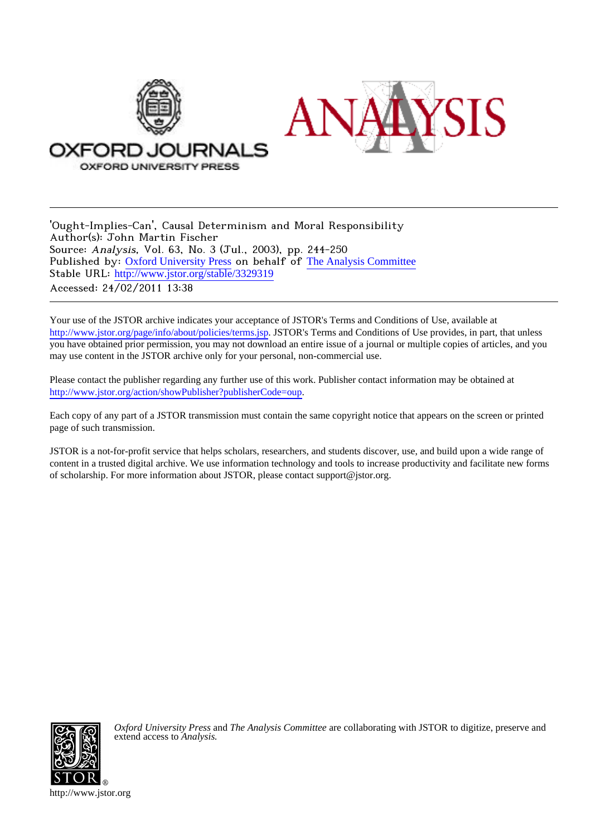

'Ought-Implies-Can', Causal Determinism and Moral Responsibility Author(s): John Martin Fischer Source: Analysis, Vol. 63, No. 3 (Jul., 2003), pp. 244-250 Published by: [Oxford University Press](http://www.jstor.org/action/showPublisher?publisherCode=oup) on behalf of [The Analysis Committee](http://www.jstor.org/action/showPublisher?publisherCode=anacom) Stable URL: [http://www.jstor.org/stable/3329319](http://www.jstor.org/stable/3329319?origin=JSTOR-pdf) Accessed: 24/02/2011 13:38

Your use of the JSTOR archive indicates your acceptance of JSTOR's Terms and Conditions of Use, available at <http://www.jstor.org/page/info/about/policies/terms.jsp>. JSTOR's Terms and Conditions of Use provides, in part, that unless you have obtained prior permission, you may not download an entire issue of a journal or multiple copies of articles, and you may use content in the JSTOR archive only for your personal, non-commercial use.

Please contact the publisher regarding any further use of this work. Publisher contact information may be obtained at [http://www.jstor.org/action/showPublisher?publisherCode=oup.](http://www.jstor.org/action/showPublisher?publisherCode=oup) .

Each copy of any part of a JSTOR transmission must contain the same copyright notice that appears on the screen or printed page of such transmission.

JSTOR is a not-for-profit service that helps scholars, researchers, and students discover, use, and build upon a wide range of content in a trusted digital archive. We use information technology and tools to increase productivity and facilitate new forms of scholarship. For more information about JSTOR, please contact support@jstor.org.



*Oxford University Press* and *The Analysis Committee* are collaborating with JSTOR to digitize, preserve and extend access to *Analysis.*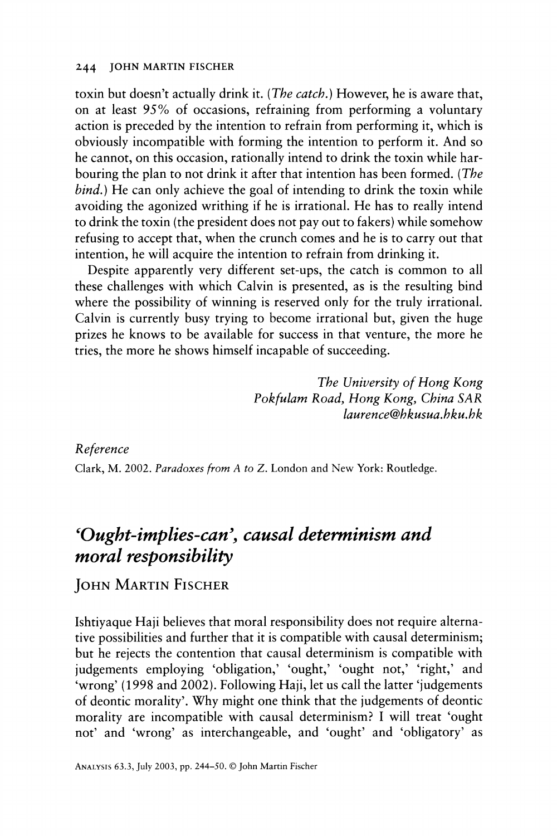toxin but doesn't actually drink it. (The catch.) However, he is aware that, on at least 95% of occasions, refraining from performing a voluntary action is preceded by the intention to refrain from performing it, which is obviously incompatible with forming the intention to perform it. And so he cannot, on this occasion, rationally intend to drink the toxin while harbouring the plan to not drink it after that intention has been formed. (The bind.) He can only achieve the goal of intending to drink the toxin while avoiding the agonized writhing if he is irrational. He has to really intend to drink the toxin (the president does not pay out to fakers) while somehow refusing to accept that, when the crunch comes and he is to carry out that intention, he will acquire the intention to refrain from drinking it.

Despite apparently very different set-ups, the catch is common to all these challenges with which Calvin is presented, as is the resulting bind where the possibility of winning is reserved only for the truly irrational. Calvin is currently busy trying to become irrational but, given the huge prizes he knows to be available for success in that venture, the more he tries, the more he shows himself incapable of succeeding.

> The University of Hong Kong Pokfulam Road, Hong Kong, China SAR laurence@hkusua.hku.hk

Reference

Clark, M. 2002. Paradoxes from A to Z. London and New York: Routledge.

# 'Ought-implies-can', causal determinism and moral responsibility

### JOHN MARTIN FISCHER

Ishtiyaque Haji believes that moral responsibility does not require alternative possibilities and further that it is compatible with causal determinism; but he rejects the contention that causal determinism is compatible with judgements employing 'obligation,' 'ought,' 'ought not,' 'right,' and 'wrong' (1998 and 2002). Following Haji, let us call the latter 'judgements of deontic morality'. Why might one think that the judgements of deontic morality are incompatible with causal determinism? I will treat 'ought not' and 'wrong' as interchangeable, and 'ought' and 'obligatory' as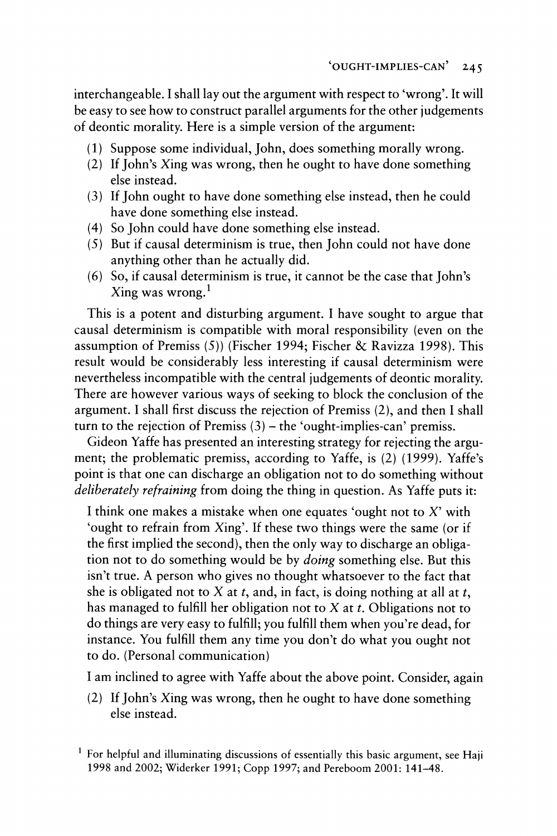interchangeable. I shall lay out the argument with respect to 'wrong'. It will be easy to see how to construct parallel arguments for the other judgements of deontic morality. Here is a simple version of the argument:

- (1) Suppose some individual, John, does something morally wrong.
- (2) If John's Xing was wrong, then he ought to have done something else instead.
- (3) If John ought to have done something else instead, then he could have done something else instead.
- (4) So John could have done something else instead.
- (5) But if causal determinism is true, then John could not have done anything other than he actually did.
- (6) So, if causal determinism is true, it cannot be the case that John's  $X$ ing was wrong.<sup>1</sup>

This is a potent and disturbing argument. I have sought to argue that causal determinism is compatible with moral responsibility (even on the assumption of Premiss (5)) (Fischer 1994; Fischer & Ravizza 1998). This result would be considerably less interesting if causal determinism were nevertheless incompatible with the central judgements of deontic morality. There are however various ways of seeking to block the conclusion of the argument. I shall first discuss the rejection of Premiss (2), and then I shall turn to the rejection of Premiss  $(3)$  – the 'ought-implies-can' premiss.

Gideon Yaffe has presented an interesting strategy for rejecting the argument; the problematic premiss, according to Yaffe, is (2) (1999). Yaffe's point is that one can discharge an obligation not to do something without deliberately refraining from doing the thing in question. As Yaffe puts it:

I think one makes a mistake when one equates 'ought not to  $X$ ' with 'ought to refrain from Xing'. If these two things were the same (or if the first implied the second), then the only way to discharge an obligation not to do something would be by doing something else. But this isn't true. A person who gives no thought whatsoever to the fact that she is obligated not to  $X$  at  $t$ , and, in fact, is doing nothing at all at  $t$ , has managed to fulfill her obligation not to  $X$  at  $t$ . Obligations not to do things are very easy to fulfill; you fulfill them when you're dead, for instance. You fulfill them any time you don't do what you ought not to do. (Personal communication)

I am inclined to agree with Yaffe about the above point. Consider, again

(2) If John's Xing was wrong, then he ought to have done something else instead.

 $<sup>1</sup>$  For helpful and illuminating discussions of essentially this basic argument, see Haji</sup> 1998 and 2002; Widerker 1991; Copp 1997; and Pereboom 2001: 141-48.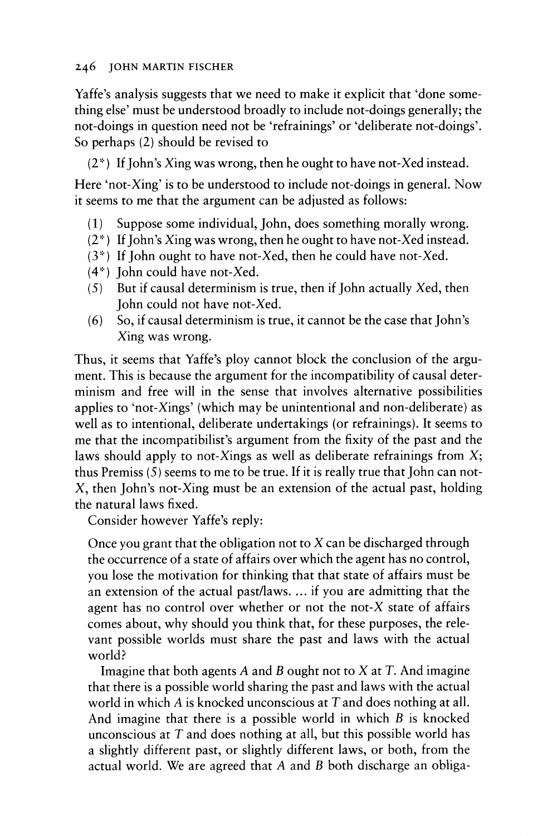#### 246 JOHN MARTIN FISCHER

Yaffe's analysis suggests that we need to make it explicit that 'done something else' must be understood broadly to include not-doings generally; the not-doings in question need not be 'refrainings' or 'deliberate not-doings'. So perhaps (2) should be revised to

(2\*) If John's Xing was wrong, then he ought to have not-Xed instead.

Here 'not-Xing' is to be understood to include not-doings in general. Now it seems to me that the argument can be adjusted as follows:

- (1) Suppose some individual, John, does something morally wrong.
- $(2^*)$  If John's Xing was wrong, then he ought to have not-Xed instead.
- (3\*) If John ought to have not-Xed, then he could have not-Xed.
- $(4^*)$  John could have not-Xed.
- (5) But if causal determinism is true, then if John actually Xed, then John could not have not-Xed.
- (6) So, if causal determinism istrue, it cannot be the case that John's Xing was wrong.

Thus, it seems that Yaffe's ploy cannot block the conclusion of the argument. This is because the argument for the incompatibility of causal determinism and free will in the sense that involves alternative possibilities applies to 'not-Xings' (which may be unintentional and non-deliberate) as well as to intentional, deliberate undertakings (or refrainings). It seems to me that the incompatibilist's argument from the fixity of the past and the laws should apply to not-Xings as well as deliberate refrainings from X; thus Premiss (5) seems to me to be true. If it is really true that John can not-X, then John's not-Xing must be an extension of the actual past, holding the natural laws fixed.

Consider however Yaffe's reply:

Once you grant that the obligation not to  $X$  can be discharged through the occurrence of a state of affairs over which the agent has no control, you lose the motivation for thinking that that state of affairs must be an extension of the actual past/laws. ... if you are admitting that the agent has no control over whether or not the not-X state of affairs comes about, why should you think that, for these purposes, the relevant possible worlds must share the past and laws with the actual world?

Imagine that both agents A and B ought not to  $X$  at  $T$ . And imagine that there is a possible world sharing the past and laws with the actual world in which  $A$  is knocked unconscious at  $T$  and does nothing at all. And imagine that there is a possible world in which  $B$  is knocked unconscious at  $T$  and does nothing at all, but this possible world has a slightly different past, or slightly different laws, or both, from the actual world. We are agreed that A and B both discharge an obliga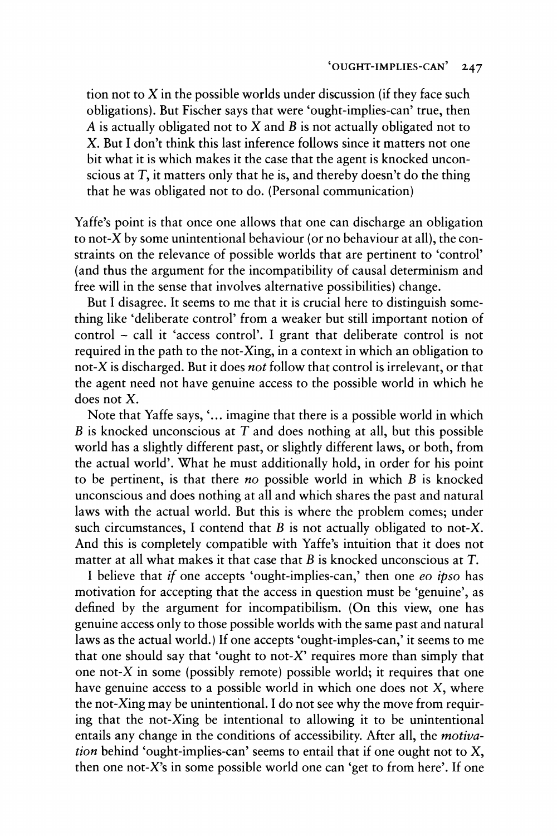tion not to X in the possible worlds under discussion (if they face such obligations). But Fischer says that were 'ought-implies-can' true, then A is actually obligated not to  $X$  and  $B$  is not actually obligated not to X. But I don't think this last inference follows since it matters not one bit what it is which makes it the case that the agent is knocked unconscious at  $T$ , it matters only that he is, and thereby doesn't do the thing that he was obligated not to do. (Personal communication)

Yaffe's point is that once one allows that one can discharge an obligation to not-X by some unintentional behaviour (or no behaviour at all), the constraints on the relevance of possible worlds that are pertinent to 'control' (and thus the argument for the incompatibility of causal determinism and free will in the sense that involves alternative possibilities) change.

But I disagree. It seems to me that it is crucial here to distinguish something like 'deliberate control' from aweaker but still important notion of control – call it 'access control'. I grant that deliberate control is not required in the path to the not-Xing, in a context in which an obligation to not-X is discharged. But it does not follow that control is irrelevant, or that the agent need not have genuine access to the possible world in which he does not X.

Note that Yaffe says, '... imagine that there is a possible world in which  $B$  is knocked unconscious at  $T$  and does nothing at all, but this possible world has a slightly different past, or slightly different laws, or both, from the actual world'. What he must additionally hold, in order for his point to be pertinent, is that there no possible world in which  $B$  is knocked unconscious and does nothing at all and which shares the past and natural laws with the actual world. But this is where the problem comes; under such circumstances, I contend that B is not actually obligated to not-X. And this is completely compatible with Yaffe's intuition that it does not matter at all what makes it that case that  $B$  is knocked unconscious at  $T$ .

I believe that if one accepts 'ought-implies-can,' then one eo ipso has motivation for accepting that the access in question must be 'genuine', as defined by the argument for incompatibilism. (On this view, one has genuine access only to those possible worlds with the same past and natural laws as the actual world.) If one accepts 'ought-imples-can,' it seems to me that one should say that 'ought to not-X' requires more than simply that one not-X in some (possibly remote) possible world; it requires that one have genuine access to a possible world in which one does not X, where the not-Xing may be unintentional. I do not see why the move from requiring that the not-Xing be intentional to allowing it to be unintentional entails any change in the conditions of accessibility. After all, the motivation behind 'ought-implies-can' seems to entail that if one ought not to  $X$ , then one not-X's in some possible world one can 'get to from here'. If one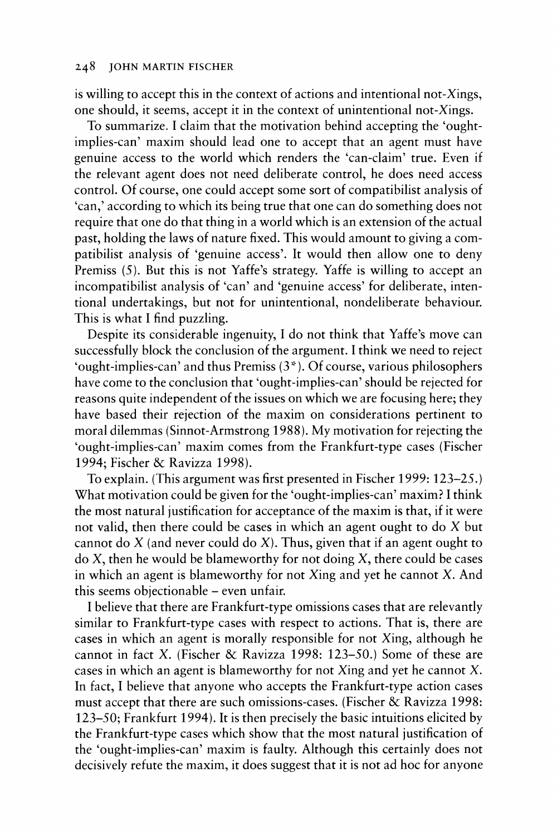is willing to accept this in the context of actions and intentional not-Xings, one should, it seems, accept it in the context of unintentional not-Xings.

To summarize. Iclaim that the motivation behind accepting the 'oughtimplies-can' maxim should lead one to accept that an agent must have genuine access to the world which renders the 'can-claim' true. Even if the relevant agent does not need deliberate control, he does need access control. Of course, one could accept some sort of compatibilist analysis of 'can,' according to which its being true that one can do something does not require that one do that thing in a world which is an extension of the actual past, holding the laws of nature fixed. This would amount to giving a compatibilist analysis of 'genuine access'. It would then allow one to deny Premiss (5). But this is not Yaffe's strategy. Yaffe is willing to accept an incompatibilist analysis of 'can' and 'genuine access' for deliberate, intentional undertakings, but not for unintentional, nondeliberate behaviour. This is what I find puzzling.

Despite its considerable ingenuity, I do not think that Yaffe's move can successfully block the conclusion of the argument. I think we need to reject 'ought-implies-can' and thus Premiss (3'"). Of course, various philosophers have come to the conclusion that 'ought-implies-can' should be rejected for reasons quite independent of the issues on which we are focusing here; they have based their rejection of the maxim on considerations pertinent to moral dilemmas (Sinnot-Armstrong 1988). My motivation for rejecting the 'ought-implies-can' maxim comes from the Frankfurt-type cases (Fischer 1994; Fischer & Ravizza 1998).

To explain. (This argument was first presented in Fischer 1999: 123-25.) What motivation could be given for the 'ought-implies-can' maxim? I think the most natural justification for acceptance of the maxim is that, if it were not valid, then there could be cases in which an agent ought to do X but cannot do X (and never could do X). Thus, given that if an agent ought to do  $X$ , then he would be blameworthy for not doing  $X$ , there could be cases in which an agent is blameworthy for not Xing and yet he cannot X. And this seems objectionable – even unfair.

I believe that there are Frankfurt-type omissions cases that are relevantly similar to Frankfurt-type cases with respect to actions. That is, there are cases in which an agent is morally responsible for not Xing, although he cannot in fact X. (Fischer & Ravizza 1998: 123-50.) Some of these are cases in which an agent is blameworthy for not Xing and yet he cannot X. In fact, I believe that anyone who accepts the Frankfurt-type action cases must accept that there are such omissions-cases. (Fischer & Ravizza 1998: 123-50; Frankfurt 1994). It is then precisely the basic intuitions elicited by the Frankfurt-type cases which show that the most natural justification of the 'ought-implies-can' maxim is faulty. Although this certainly does not decisively refute the maxim, it does suggest that it is not ad hoc for anyone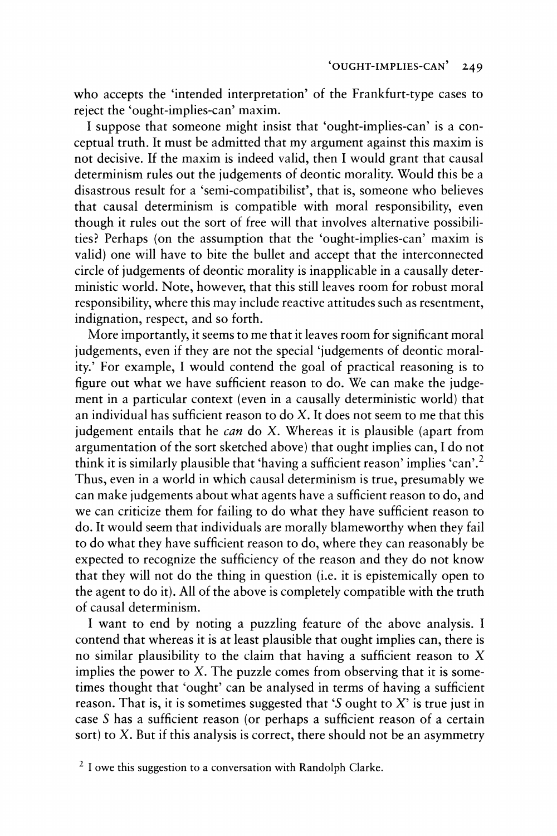who accepts the 'intended interpretation' of the Frankfurt-type cases to reject the 'ought-implies-can' maxim.

I suppose that someone might insist that 'ought-implies-can' is a conceptual truth. It must be admitted that my argument against this maxim is not decisive. If the maxim is indeed valid, then I would grant that causal determinism rules out the judgements of deontic morality. Would this be a disastrous result for a 'semi-compatibilist', that is, someone who believes that causal determinism is compatible with moral responsibility, even though it rules out the sort of free will that involves alternative possibilities? Perhaps (on the assumption that the 'ought-implies-can' maxim is valid) one will have to bite the bullet and accept that the interconnected circle of judgements of deontic morality is inapplicable in a causally deterministic world. Note, however, that this still leaves room for robust moral responsibility, where this may include reactive attitudes such as resentment, indignation, respect, and so forth.

More importantly, it seems to me that it leaves room for significant moral judgements, even if they are not the special 'judgements of deontic morality.' For example, I would contend the goal of practical reasoning is to figure out what we have sufficient reason to do. We can make the judgement in a particular context (even in a causally deterministic world) that an individual has sufficient reason to do  $X$ . It does not seem to me that this judgement entails that he *can* do  $X$ . Whereas it is plausible (apart from argumentation of the sort sketched above) that ought implies can, I do not think it is similarly plausible that 'having a sufficient reason' implies 'can'.<sup>2</sup> Thus, even in a world in which causal determinism is true, presumably we can make judgements about what agents have a sufficient reason to do, and we can criticize them for failing to do what they have sufficient reason to do. It would seem that individuals are morally blameworthy when they fail to do what they have sufficient reason to do, where they can reasonably be expected to recognize the sufficiency of the reason and they do not know that they will not do the thing in question (i.e. it is epistemically open to the agent to do it). All of the above is completely compatible with the truth of causal determinism.

I want to end by noting a puzzling feature of the above analysis. I contend that whereas it is at least plausible that ought implies can, there is no similar plausibility to the claim that having a sufficient reason to X implies the power to  $X$ . The puzzle comes from observing that it is sometimes thought that 'ought' can be analysed in terms of having a sufficient reason. That is, it is sometimes suggested that 'S ought to  $X$ ' is true just in case S has a sufficient reason (or perhaps a sufficient reason of a certain sort) to X. But if this analysis is correct, there should not be an asymmetry

 $2$  I owe this suggestion to a conversation with Randolph Clarke.